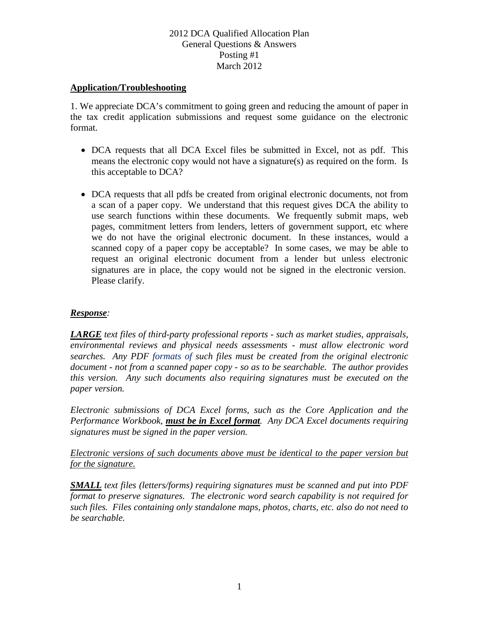#### **Application/Troubleshooting**

1. We appreciate DCA's commitment to going green and reducing the amount of paper in the tax credit application submissions and request some guidance on the electronic format.

- DCA requests that all DCA Excel files be submitted in Excel, not as pdf. This means the electronic copy would not have a signature(s) as required on the form. Is this acceptable to DCA?
- DCA requests that all pdfs be created from original electronic documents, not from a scan of a paper copy. We understand that this request gives DCA the ability to use search functions within these documents. We frequently submit maps, web pages, commitment letters from lenders, letters of government support, etc where we do not have the original electronic document. In these instances, would a scanned copy of a paper copy be acceptable? In some cases, we may be able to request an original electronic document from a lender but unless electronic signatures are in place, the copy would not be signed in the electronic version. Please clarify.

# *Response:*

*LARGE text files of third-party professional reports - such as market studies, appraisals, environmental reviews and physical needs assessments - must allow electronic word searches. Any PDF formats of such files must be created from the original electronic document - not from a scanned paper copy - so as to be searchable. The author provides this version. Any such documents also requiring signatures must be executed on the paper version.* 

*Electronic submissions of DCA Excel forms, such as the Core Application and the Performance Workbook, must be in Excel format. Any DCA Excel documents requiring signatures must be signed in the paper version.*

*Electronic versions of such documents above must be identical to the paper version but for the signature.* 

*SMALL text files (letters/forms) requiring signatures must be scanned and put into PDF format to preserve signatures. The electronic word search capability is not required for such files. Files containing only standalone maps, photos, charts, etc. also do not need to be searchable.*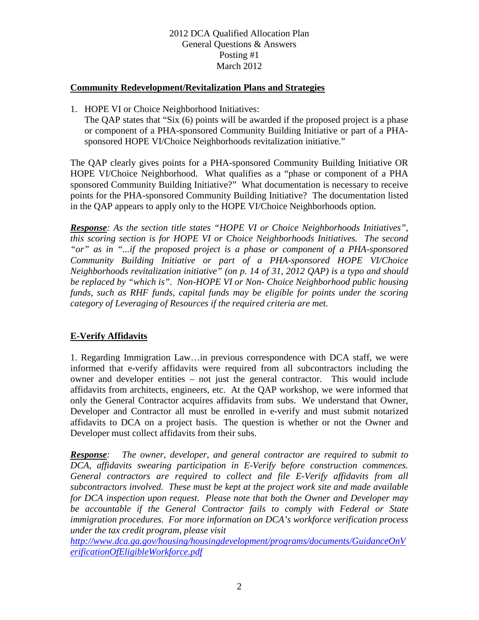#### **Community Redevelopment/Revitalization Plans and Strategies**

1. HOPE VI or Choice Neighborhood Initiatives:

The QAP states that "Six (6) points will be awarded if the proposed project is a phase or component of a PHA-sponsored Community Building Initiative or part of a PHAsponsored HOPE VI/Choice Neighborhoods revitalization initiative."

The QAP clearly gives points for a PHA-sponsored Community Building Initiative OR HOPE VI/Choice Neighborhood. What qualifies as a "phase or component of a PHA sponsored Community Building Initiative?" What documentation is necessary to receive points for the PHA-sponsored Community Building Initiative? The documentation listed in the QAP appears to apply only to the HOPE VI/Choice Neighborhoods option.

*Response: As the section title states "HOPE VI or Choice Neighborhoods Initiatives", this scoring section is for HOPE VI or Choice Neighborhoods Initiatives. The second "or" as in "...if the proposed project is a phase or component of a PHA-sponsored Community Building Initiative or part of a PHA-sponsored HOPE VI/Choice Neighborhoods revitalization initiative" (on p. 14 of 31, 2012 QAP) is a typo and should be replaced by "which is". Non-HOPE VI or Non- Choice Neighborhood public housing funds, such as RHF funds, capital funds may be eligible for points under the scoring category of Leveraging of Resources if the required criteria are met.*

# **E-Verify Affidavits**

1. Regarding Immigration Law…in previous correspondence with DCA staff, we were informed that e-verify affidavits were required from all subcontractors including the owner and developer entities – not just the general contractor. This would include affidavits from architects, engineers, etc. At the QAP workshop, we were informed that only the General Contractor acquires affidavits from subs. We understand that Owner, Developer and Contractor all must be enrolled in e-verify and must submit notarized affidavits to DCA on a project basis. The question is whether or not the Owner and Developer must collect affidavits from their subs.

*Response: The owner, developer, and general contractor are required to submit to DCA, affidavits swearing participation in E-Verify before construction commences. General contractors are required to collect and file E-Verify affidavits from all subcontractors involved. These must be kept at the project work site and made available for DCA inspection upon request. Please note that both the Owner and Developer may be accountable if the General Contractor fails to comply with Federal or State immigration procedures. For more information on DCA's workforce verification process under the tax credit program, please visit*

*[http://www.dca.ga.gov/housing/housingdevelopment/programs/documents/GuidanceOnV](http://www.dca.ga.gov/housing/housingdevelopment/programs/documents/GuidanceOnVerificationOfEligibleWorkforce.pdf) [erificationOfEligibleWorkforce.pdf](http://www.dca.ga.gov/housing/housingdevelopment/programs/documents/GuidanceOnVerificationOfEligibleWorkforce.pdf)*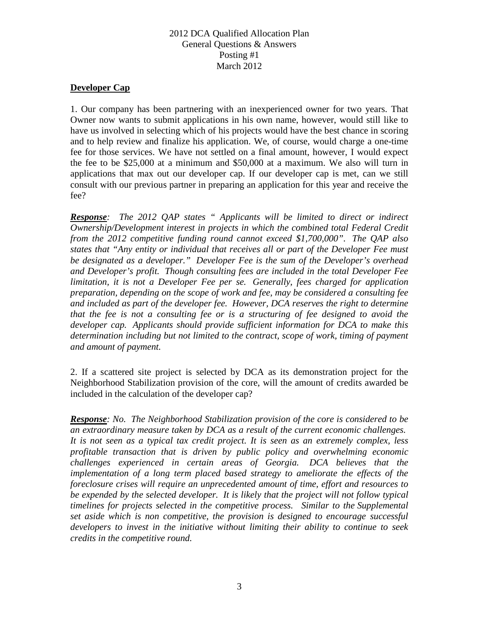#### **Developer Cap**

1. Our company has been partnering with an inexperienced owner for two years. That Owner now wants to submit applications in his own name, however, would still like to have us involved in selecting which of his projects would have the best chance in scoring and to help review and finalize his application. We, of course, would charge a one-time fee for those services. We have not settled on a final amount, however, I would expect the fee to be \$25,000 at a minimum and \$50,000 at a maximum. We also will turn in applications that max out our developer cap. If our developer cap is met, can we still consult with our previous partner in preparing an application for this year and receive the fee?

*Response: The 2012 QAP states " Applicants will be limited to direct or indirect Ownership/Development interest in projects in which the combined total Federal Credit from the 2012 competitive funding round cannot exceed \$1,700,000". The QAP also states that "Any entity or individual that receives all or part of the Developer Fee must be designated as a developer." Developer Fee is the sum of the Developer's overhead and Developer's profit. Though consulting fees are included in the total Developer Fee limitation, it is not a Developer Fee per se. Generally, fees charged for application preparation, depending on the scope of work and fee, may be considered a consulting fee and included as part of the developer fee. However, DCA reserves the right to determine that the fee is not a consulting fee or is a structuring of fee designed to avoid the developer cap. Applicants should provide sufficient information for DCA to make this determination including but not limited to the contract, scope of work, timing of payment and amount of payment.*

2. If a scattered site project is selected by DCA as its demonstration project for the Neighborhood Stabilization provision of the core, will the amount of credits awarded be included in the calculation of the developer cap?

*Response: No. The Neighborhood Stabilization provision of the core is considered to be an extraordinary measure taken by DCA as a result of the current economic challenges. It is not seen as a typical tax credit project. It is seen as an extremely complex, less profitable transaction that is driven by public policy and overwhelming economic challenges experienced in certain areas of Georgia. DCA believes that the implementation of a long term placed based strategy to ameliorate the effects of the foreclosure crises will require an unprecedented amount of time, effort and resources to be expended by the selected developer. It is likely that the project will not follow typical timelines for projects selected in the competitive process. Similar to the Supplemental set aside which is non competitive, the provision is designed to encourage successful developers to invest in the initiative without limiting their ability to continue to seek credits in the competitive round.*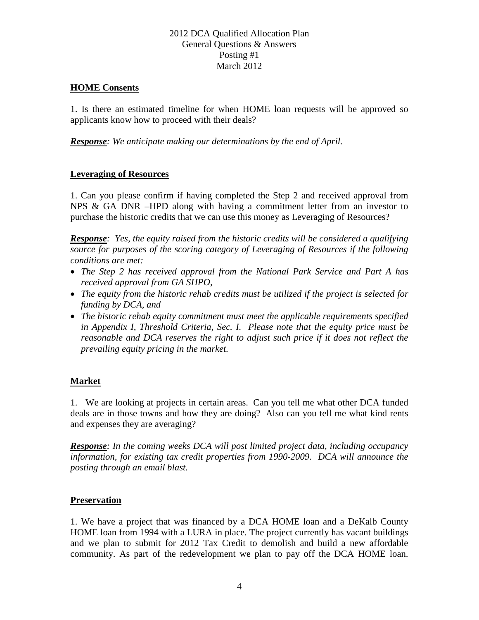#### **HOME Consents**

1. Is there an estimated timeline for when HOME loan requests will be approved so applicants know how to proceed with their deals?

*Response: We anticipate making our determinations by the end of April.*

#### **Leveraging of Resources**

1. Can you please confirm if having completed the Step 2 and received approval from NPS & GA DNR –HPD along with having a commitment letter from an investor to purchase the historic credits that we can use this money as Leveraging of Resources?

*Response: Yes, the equity raised from the historic credits will be considered a qualifying source for purposes of the scoring category of Leveraging of Resources if the following conditions are met:*

- *The Step 2 has received approval from the National Park Service and Part A has received approval from GA SHPO,*
- *The equity from the historic rehab credits must be utilized if the project is selected for funding by DCA, and*
- *The historic rehab equity commitment must meet the applicable requirements specified in Appendix I, Threshold Criteria, Sec. I. Please note that the equity price must be reasonable and DCA reserves the right to adjust such price if it does not reflect the prevailing equity pricing in the market.*

# **Market**

1. We are looking at projects in certain areas. Can you tell me what other DCA funded deals are in those towns and how they are doing? Also can you tell me what kind rents and expenses they are averaging?

*Response: In the coming weeks DCA will post limited project data, including occupancy information, for existing tax credit properties from 1990-2009. DCA will announce the posting through an email blast.*

#### **Preservation**

1. We have a project that was financed by a DCA HOME loan and a DeKalb County HOME loan from 1994 with a LURA in place. The project currently has vacant buildings and we plan to submit for 2012 Tax Credit to demolish and build a new affordable community. As part of the redevelopment we plan to pay off the DCA HOME loan.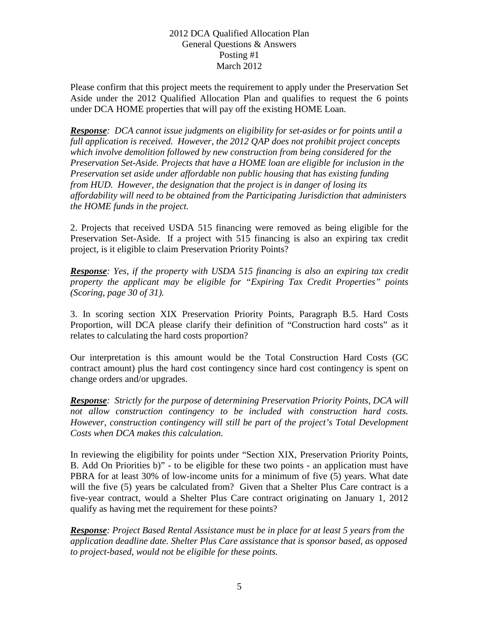Please confirm that this project meets the requirement to apply under the Preservation Set Aside under the 2012 Qualified Allocation Plan and qualifies to request the 6 points under DCA HOME properties that will pay off the existing HOME Loan.

*Response: DCA cannot issue judgments on eligibility for set-asides or for points until a full application is received. However, the 2012 QAP does not prohibit project concepts which involve demolition followed by new construction from being considered for the Preservation Set-Aside. Projects that have a HOME loan are eligible for inclusion in the Preservation set aside under affordable non public housing that has existing funding from HUD. However, the designation that the project is in danger of losing its affordability will need to be obtained from the Participating Jurisdiction that administers the HOME funds in the project.*

2. Projects that received USDA 515 financing were removed as being eligible for the Preservation Set-Aside. If a project with 515 financing is also an expiring tax credit project, is it eligible to claim Preservation Priority Points?

*Response: Yes, if the property with USDA 515 financing is also an expiring tax credit property the applicant may be eligible for "Expiring Tax Credit Properties" points (Scoring, page 30 of 31).*

3. In scoring section XIX Preservation Priority Points, Paragraph B.5. Hard Costs Proportion, will DCA please clarify their definition of "Construction hard costs" as it relates to calculating the hard costs proportion?

Our interpretation is this amount would be the Total Construction Hard Costs (GC contract amount) plus the hard cost contingency since hard cost contingency is spent on change orders and/or upgrades.

*Response: Strictly for the purpose of determining Preservation Priority Points, DCA will not allow construction contingency to be included with construction hard costs. However, construction contingency will still be part of the project's Total Development Costs when DCA makes this calculation.*

In reviewing the eligibility for points under "Section XIX, Preservation Priority Points, B. Add On Priorities b)" - to be eligible for these two points - an application must have PBRA for at least 30% of low-income units for a minimum of five (5) years. What date will the five (5) years be calculated from? Given that a Shelter Plus Care contract is a five-year contract, would a Shelter Plus Care contract originating on January 1, 2012 qualify as having met the requirement for these points?

*Response: Project Based Rental Assistance must be in place for at least 5 years from the application deadline date. Shelter Plus Care assistance that is sponsor based, as opposed to project-based, would not be eligible for these points.*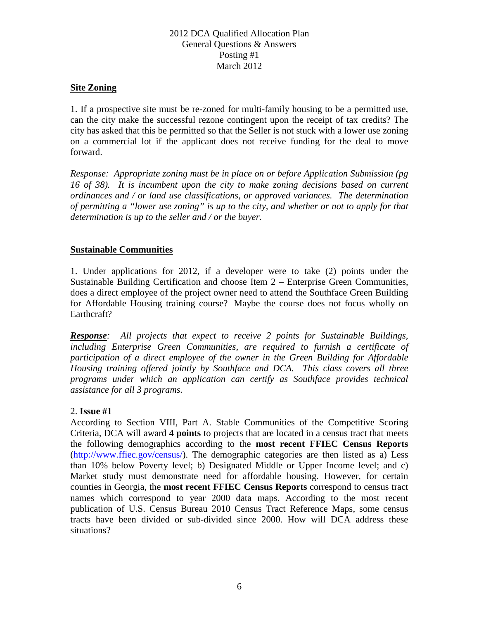### **Site Zoning**

1. If a prospective site must be re-zoned for multi-family housing to be a permitted use, can the city make the successful rezone contingent upon the receipt of tax credits? The city has asked that this be permitted so that the Seller is not stuck with a lower use zoning on a commercial lot if the applicant does not receive funding for the deal to move forward.

*Response: Appropriate zoning must be in place on or before Application Submission (pg 16 of 38). It is incumbent upon the city to make zoning decisions based on current ordinances and / or land use classifications, or approved variances. The determination of permitting a "lower use zoning" is up to the city, and whether or not to apply for that determination is up to the seller and / or the buyer.*

### **Sustainable Communities**

1. Under applications for 2012, if a developer were to take (2) points under the Sustainable Building Certification and choose Item 2 – Enterprise Green Communities, does a direct employee of the project owner need to attend the Southface Green Building for Affordable Housing training course? Maybe the course does not focus wholly on Earthcraft?

*Response: All projects that expect to receive 2 points for Sustainable Buildings, including Enterprise Green Communities, are required to furnish a certificate of participation of a direct employee of the owner in the Green Building for Affordable Housing training offered jointly by Southface and DCA. This class covers all three programs under which an application can certify as Southface provides technical assistance for all 3 programs.*

# 2. **Issue #1**

According to Section VIII, Part A. Stable Communities of the Competitive Scoring Criteria, DCA will award **4 points** to projects that are located in a census tract that meets the following demographics according to the **most recent FFIEC Census Reports**  [\(http://www.ffiec.gov/census/\)](http://www.ffiec.gov/census/). The demographic categories are then listed as a) Less than 10% below Poverty level; b) Designated Middle or Upper Income level; and c) Market study must demonstrate need for affordable housing. However, for certain counties in Georgia, the **most recent FFIEC Census Reports** correspond to census tract names which correspond to year 2000 data maps. According to the most recent publication of U.S. Census Bureau 2010 Census Tract Reference Maps, some census tracts have been divided or sub-divided since 2000. How will DCA address these situations?